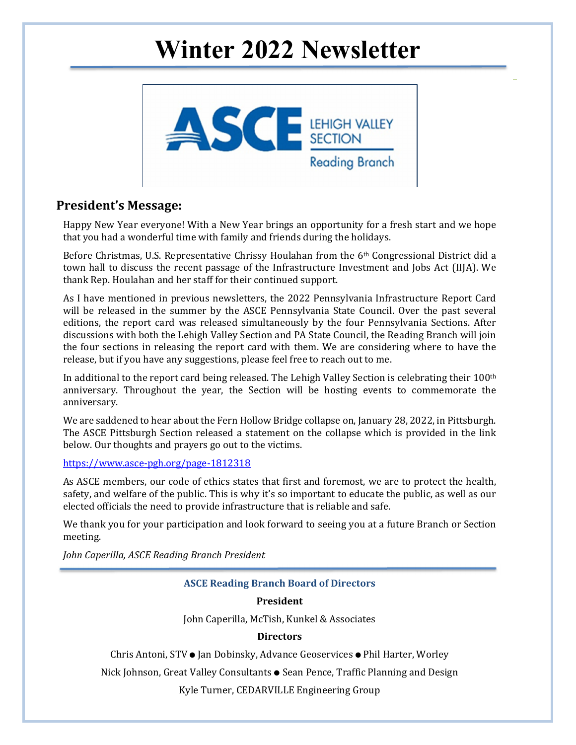# **Winter 2022 Newsletter**



## **President's Message:**

Happy New Year everyone! With a New Year brings an opportunity for a fresh start and we hope that you had a wonderful time with family and friends during the holidays.

Before Christmas, U.S. Representative Chrissy Houlahan from the 6th Congressional District did a town hall to discuss the recent passage of the Infrastructure Investment and Jobs Act (IIJA). We thank Rep. Houlahan and her staff for their continued support.

As I have mentioned in previous newsletters, the 2022 Pennsylvania Infrastructure Report Card will be released in the summer by the ASCE Pennsylvania State Council. Over the past several editions, the report card was released simultaneously by the four Pennsylvania Sections. After discussions with both the Lehigh Valley Section and PA State Council, the Reading Branch will join the four sections in releasing the report card with them. We are considering where to have the release, but if you have any suggestions, please feel free to reach out to me.

In additional to the report card being released. The Lehigh Valley Section is celebrating their 100<sup>th</sup> anniversary. Throughout the year, the Section will be hosting events to commemorate the anniversary.

We are saddened to hear about the Fern Hollow Bridge collapse on, January 28, 2022, in Pittsburgh. The ASCE Pittsburgh Section released a statement on the collapse which is provided in the link below. Our thoughts and prayers go out to the victims.

#### https://www.asce-pgh.org/page-1812318

As ASCE members, our code of ethics states that first and foremost, we are to protect the health, safety, and welfare of the public. This is why it's so important to educate the public, as well as our elected officials the need to provide infrastructure that is reliable and safe.

We thank you for your participation and look forward to seeing you at a future Branch or Section meeting.

*John Caperilla, ASCE Reading Branch President*

#### **ASCE Reading Branch Board of Directors**

#### **President**

John Caperilla, McTish, Kunkel & Associates

#### **Directors**

Chris Antoni, STV ● Jan Dobinsky, Advance Geoservices ● Phil Harter, Worley

Nick Johnson, Great Valley Consultants ● Sean Pence, Traffic Planning and Design

Kyle Turner, CEDARVILLE Engineering Group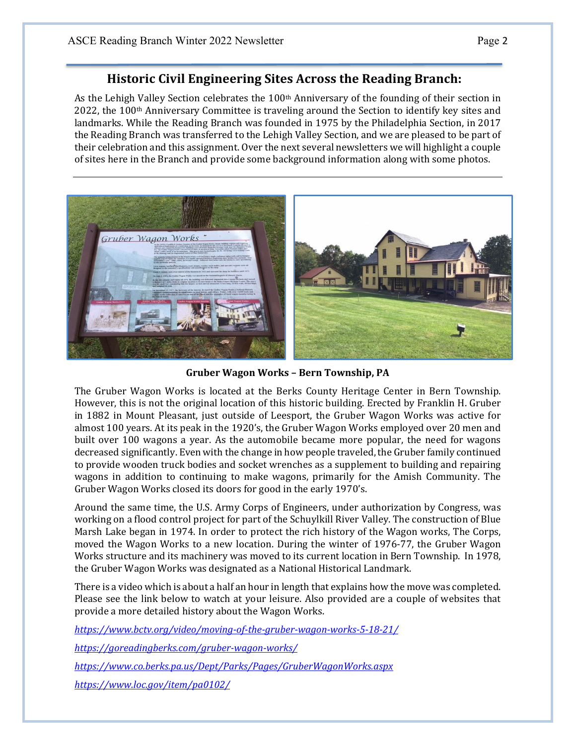# **Historic Civil Engineering Sites Across the Reading Branch:**

As the Lehigh Valley Section celebrates the 100<sup>th</sup> Anniversary of the founding of their section in  $2022$ , the 100<sup>th</sup> Anniversary Committee is traveling around the Section to identify key sites and landmarks. While the Reading Branch was founded in 1975 by the Philadelphia Section, in 2017 the Reading Branch was transferred to the Lehigh Valley Section, and we are pleased to be part of their celebration and this assignment. Over the next several newsletters we will highlight a couple of sites here in the Branch and provide some background information along with some photos.



**Gruber Wagon Works – Bern Township, PA**

The Gruber Wagon Works is located at the Berks County Heritage Center in Bern Township. However, this is not the original location of this historic building. Erected by Franklin H. Gruber in 1882 in Mount Pleasant, just outside of Leesport, the Gruber Wagon Works was active for almost 100 years. At its peak in the 1920's, the Gruber Wagon Works employed over 20 men and built over 100 wagons a year. As the automobile became more popular, the need for wagons decreased significantly. Even with the change in how people traveled, the Gruber family continued to provide wooden truck bodies and socket wrenches as a supplement to building and repairing wagons in addition to continuing to make wagons, primarily for the Amish Community. The Gruber Wagon Works closed its doors for good in the early 1970's.

Around the same time, the U.S. Army Corps of Engineers, under authorization by Congress, was working on a flood control project for part of the Schuylkill River Valley. The construction of Blue Marsh Lake began in 1974. In order to protect the rich history of the Wagon works, The Corps, moved the Wagon Works to a new location. During the winter of 1976-77, the Gruber Wagon Works structure and its machinery was moved to its current location in Bern Township. In 1978, the Gruber Wagon Works was designated as a National Historical Landmark.

There is a video which is about a half an hour in length that explains how the move was completed. Please see the link below to watch at your leisure. Also provided are a couple of websites that provide a more detailed history about the Wagon Works.

*https://www.bctv.org/video/moving‐of‐the‐gruber‐wagon‐works‐5‐18‐21/* 

*https://goreadingberks.com/gruber‐wagon‐works/*

*https://www.co.berks.pa.us/Dept/Parks/Pages/GruberWagonWorks.aspx*

*https://www.loc.gov/item/pa0102/*